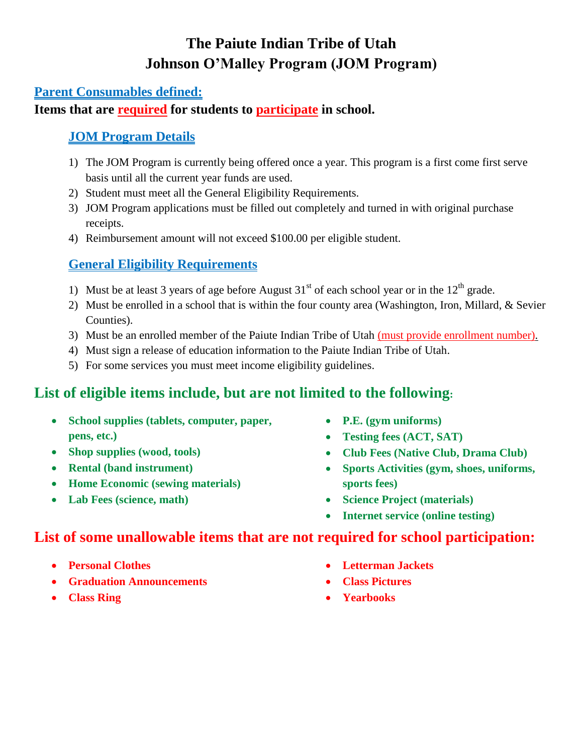# **The Paiute Indian Tribe of Utah Johnson O'Malley Program (JOM Program)**

#### **Parent Consumables defined:**

#### **Items that are required for students to participate in school.**

#### **JOM Program Details**

- 1) The JOM Program is currently being offered once a year. This program is a first come first serve basis until all the current year funds are used.
- 2) Student must meet all the General Eligibility Requirements.
- 3) JOM Program applications must be filled out completely and turned in with original purchase receipts.
- 4) Reimbursement amount will not exceed \$100.00 per eligible student.

### **General Eligibility Requirements**

- 1) Must be at least 3 years of age before August  $31<sup>st</sup>$  of each school year or in the  $12<sup>th</sup>$  grade.
- 2) Must be enrolled in a school that is within the four county area (Washington, Iron, Millard, & Sevier Counties).
- 3) Must be an enrolled member of the Paiute Indian Tribe of Utah (must provide enrollment number).
- 4) Must sign a release of education information to the Paiute Indian Tribe of Utah.
- 5) For some services you must meet income eligibility guidelines.

## **List of eligible items include, but are not limited to the following:**

- **School supplies (tablets, computer, paper, pens, etc.)**
- **Shop supplies (wood, tools)**
- **Rental (band instrument)**
- **Home Economic (sewing materials)**
- **Lab Fees (science, math)**
- **P.E. (gym uniforms)**
- **Testing fees (ACT, SAT)**
- **Club Fees (Native Club, Drama Club)**
- **Sports Activities (gym, shoes, uniforms, sports fees)**
- **Science Project (materials)**
- **Internet service (online testing)**

## **List of some unallowable items that are not required for school participation:**

- **Personal Clothes**
- **Graduation Announcements**
- **Class Ring**
- **Letterman Jackets**
- **Class Pictures**
- **Yearbooks**